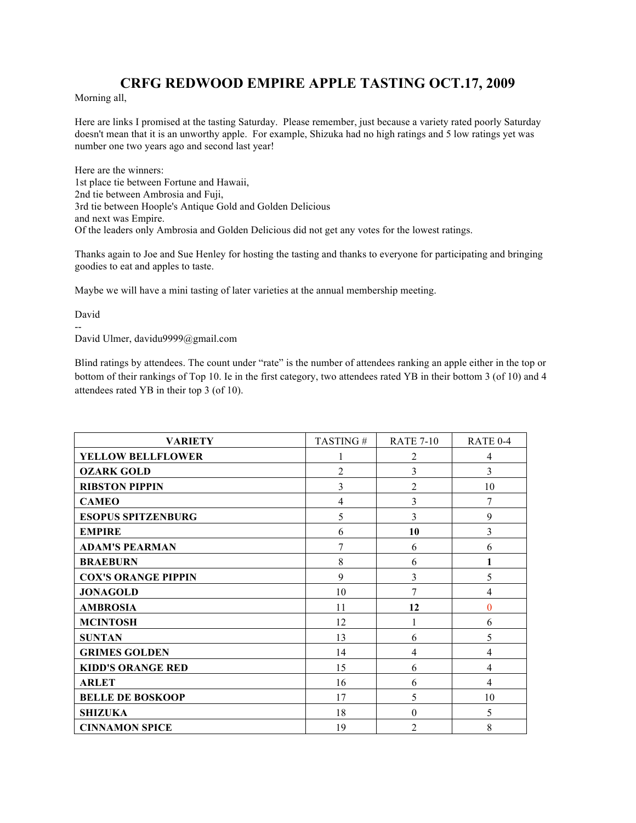## **CRFG REDWOOD EMPIRE APPLE TASTING OCT.17, 2009**

Morning all,

Here are links I promised at the tasting Saturday. Please remember, just because a variety rated poorly Saturday doesn't mean that it is an unworthy apple. For example, Shizuka had no high ratings and 5 low ratings yet was number one two years ago and second last year!

Here are the winners: 1st place tie between Fortune and Hawaii, 2nd tie between Ambrosia and Fuji, 3rd tie between Hoople's Antique Gold and Golden Delicious and next was Empire. Of the leaders only Ambrosia and Golden Delicious did not get any votes for the lowest ratings.

Thanks again to Joe and Sue Henley for hosting the tasting and thanks to everyone for participating and bringing goodies to eat and apples to taste.

Maybe we will have a mini tasting of later varieties at the annual membership meeting.

David

-- David Ulmer, davidu9999@gmail.com

Blind ratings by attendees. The count under "rate" is the number of attendees ranking an apple either in the top or bottom of their rankings of Top 10. Ie in the first category, two attendees rated YB in their bottom 3 (of 10) and 4 attendees rated YB in their top 3 (of 10).

| <b>VARIETY</b>             | TASTING#       | <b>RATE 7-10</b> | RATE 0-4 |
|----------------------------|----------------|------------------|----------|
| <b>YELLOW BELLFLOWER</b>   |                | 2                | 4        |
| <b>OZARK GOLD</b>          | $\overline{c}$ | 3                | 3        |
| <b>RIBSTON PIPPIN</b>      | 3              | $\overline{2}$   | 10       |
| <b>CAMEO</b>               | 4              | 3                | 7        |
| <b>ESOPUS SPITZENBURG</b>  | 5              | 3                | 9        |
| <b>EMPIRE</b>              | 6              | 10               | 3        |
| <b>ADAM'S PEARMAN</b>      | 7              | 6                | 6        |
| <b>BRAEBURN</b>            | 8              | 6                | 1        |
| <b>COX'S ORANGE PIPPIN</b> | 9              | 3                | 5        |
| <b>JONAGOLD</b>            | 10             | 7                | 4        |
| <b>AMBROSIA</b>            | 11             | 12               | $\theta$ |
| <b>MCINTOSH</b>            | 12             | 1                | 6        |
| <b>SUNTAN</b>              | 13             | 6                | 5        |
| <b>GRIMES GOLDEN</b>       | 14             | 4                | 4        |
| <b>KIDD'S ORANGE RED</b>   | 15             | 6                | 4        |
| <b>ARLET</b>               | 16             | 6                | 4        |
| <b>BELLE DE BOSKOOP</b>    | 17             | 5                | 10       |
| <b>SHIZUKA</b>             | 18             | $\theta$         | 5        |
| <b>CINNAMON SPICE</b>      | 19             | $\overline{2}$   | 8        |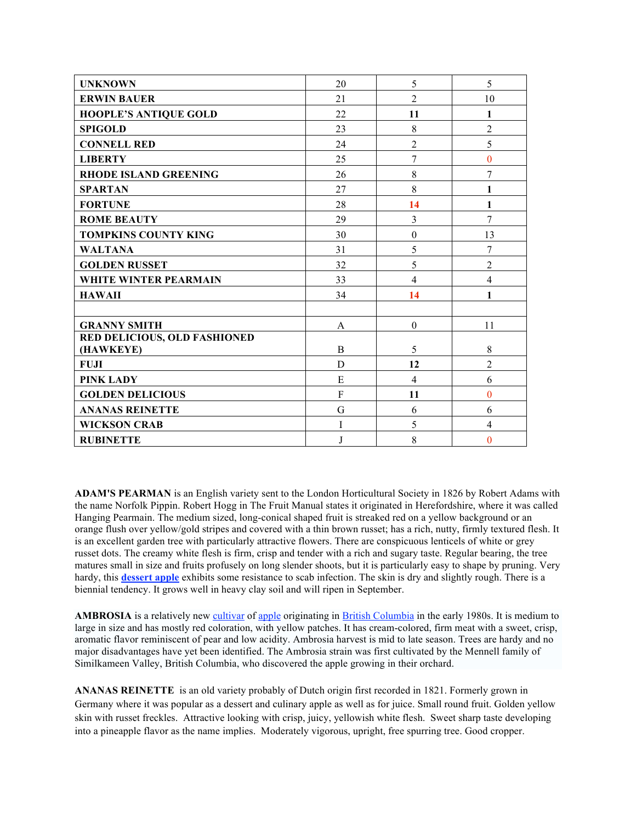| <b>UNKNOWN</b>                      | 20             | 5                | 5              |
|-------------------------------------|----------------|------------------|----------------|
| <b>ERWIN BAUER</b>                  | 21             | $\overline{2}$   | 10             |
| <b>HOOPLE'S ANTIQUE GOLD</b>        | 22             | 11               | 1              |
| <b>SPIGOLD</b>                      | 23             | 8                | $\overline{2}$ |
| <b>CONNELL RED</b>                  | 24             | $\overline{2}$   | 5              |
| <b>LIBERTY</b>                      | 25             | 7                | $\overline{0}$ |
| <b>RHODE ISLAND GREENING</b>        | 26             | 8                | 7              |
| <b>SPARTAN</b>                      | 27             | 8                | $\mathbf{1}$   |
| <b>FORTUNE</b>                      | 28             | 14               | 1              |
| <b>ROME BEAUTY</b>                  | 29             | 3                | $\overline{7}$ |
| <b>TOMPKINS COUNTY KING</b>         | 30             | $\boldsymbol{0}$ | 13             |
| <b>WALTANA</b>                      | 31             | 5                | 7              |
| <b>GOLDEN RUSSET</b>                | 32             | 5                | $\overline{2}$ |
| <b>WHITE WINTER PEARMAIN</b>        | 33             | $\overline{4}$   | $\overline{4}$ |
| <b>HAWAII</b>                       | 34             | 14               | $\mathbf{1}$   |
|                                     |                |                  |                |
| <b>GRANNY SMITH</b>                 | A              | $\boldsymbol{0}$ | 11             |
| <b>RED DELICIOUS, OLD FASHIONED</b> |                |                  |                |
| (HAWKEYE)                           | $\overline{B}$ | 5                | 8              |
| <b>FUJI</b>                         | D              | 12               | $\overline{2}$ |
| PINK LADY                           | E              | $\overline{4}$   | 6              |
| <b>GOLDEN DELICIOUS</b>             | F              | 11               | $\overline{0}$ |
| <b>ANANAS REINETTE</b>              | G              | 6                | 6              |
| <b>WICKSON CRAB</b>                 | I              | 5                | $\overline{4}$ |
| <b>RUBINETTE</b>                    | J              | 8                | $\theta$       |

**ADAM'S PEARMAN** is an English variety sent to the London Horticultural Society in 1826 by Robert Adams with the name Norfolk Pippin. Robert Hogg in The Fruit Manual states it originated in Herefordshire, where it was called Hanging Pearmain. The medium sized, long-conical shaped fruit is streaked red on a yellow background or an orange flush over yellow/gold stripes and covered with a thin brown russet; has a rich, nutty, firmly textured flesh. It is an excellent garden tree with particularly attractive flowers. There are conspicuous lenticels of white or grey russet dots. The creamy white flesh is firm, crisp and tender with a rich and sugary taste. Regular bearing, the tree matures small in size and fruits profusely on long slender shoots, but it is particularly easy to shape by pruning. Very hardy, this **dessert apple** exhibits some resistance to scab infection. The skin is dry and slightly rough. There is a biennial tendency. It grows well in heavy clay soil and will ripen in September.

**AMBROSIA** is a relatively new cultivar of apple originating in British Columbia in the early 1980s. It is medium to large in size and has mostly red coloration, with yellow patches. It has cream-colored, firm meat with a sweet, crisp, aromatic flavor reminiscent of pear and low acidity. Ambrosia harvest is mid to late season. Trees are hardy and no major disadvantages have yet been identified. The Ambrosia strain was first cultivated by the Mennell family of Similkameen Valley, British Columbia, who discovered the apple growing in their orchard.

**ANANAS REINETTE** is an old variety probably of Dutch origin first recorded in 1821. Formerly grown in Germany where it was popular as a dessert and culinary apple as well as for juice. Small round fruit. Golden yellow skin with russet freckles. Attractive looking with crisp, juicy, yellowish white flesh. Sweet sharp taste developing into a pineapple flavor as the name implies. Moderately vigorous, upright, free spurring tree. Good cropper.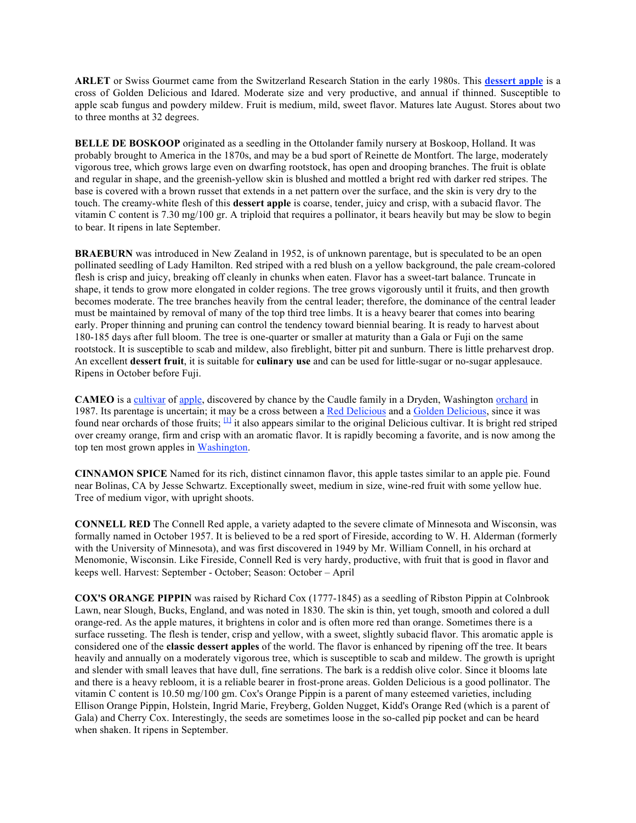**ARLET** or Swiss Gourmet came from the Switzerland Research Station in the early 1980s. This **dessert apple** is a cross of Golden Delicious and Idared. Moderate size and very productive, and annual if thinned. Susceptible to apple scab fungus and powdery mildew. Fruit is medium, mild, sweet flavor. Matures late August. Stores about two to three months at 32 degrees.

**BELLE DE BOSKOOP** originated as a seedling in the Ottolander family nursery at Boskoop, Holland. It was probably brought to America in the 1870s, and may be a bud sport of Reinette de Montfort. The large, moderately vigorous tree, which grows large even on dwarfing rootstock, has open and drooping branches. The fruit is oblate and regular in shape, and the greenish-yellow skin is blushed and mottled a bright red with darker red stripes. The base is covered with a brown russet that extends in a net pattern over the surface, and the skin is very dry to the touch. The creamy-white flesh of this **dessert apple** is coarse, tender, juicy and crisp, with a subacid flavor. The vitamin C content is 7.30 mg/100 gr. A triploid that requires a pollinator, it bears heavily but may be slow to begin to bear. It ripens in late September.

**BRAEBURN** was introduced in New Zealand in 1952, is of unknown parentage, but is speculated to be an open pollinated seedling of Lady Hamilton. Red striped with a red blush on a yellow background, the pale cream-colored flesh is crisp and juicy, breaking off cleanly in chunks when eaten. Flavor has a sweet-tart balance. Truncate in shape, it tends to grow more elongated in colder regions. The tree grows vigorously until it fruits, and then growth becomes moderate. The tree branches heavily from the central leader; therefore, the dominance of the central leader must be maintained by removal of many of the top third tree limbs. It is a heavy bearer that comes into bearing early. Proper thinning and pruning can control the tendency toward biennial bearing. It is ready to harvest about 180-185 days after full bloom. The tree is one-quarter or smaller at maturity than a Gala or Fuji on the same rootstock. It is susceptible to scab and mildew, also fireblight, bitter pit and sunburn. There is little preharvest drop. An excellent **dessert fruit**, it is suitable for **culinary use** and can be used for little-sugar or no-sugar applesauce. Ripens in October before Fuji.

**CAMEO** is a cultivar of apple, discovered by chance by the Caudle family in a Dryden, Washington orchard in 1987. Its parentage is uncertain; it may be a cross between a Red Delicious and a Golden Delicious, since it was found near orchards of those fruits; <sup>[1]</sup> it also appears similar to the original Delicious cultivar. It is bright red striped over creamy orange, firm and crisp with an aromatic flavor. It is rapidly becoming a favorite, and is now among the top ten most grown apples in Washington.

**CINNAMON SPICE** Named for its rich, distinct cinnamon flavor, this apple tastes similar to an apple pie. Found near Bolinas, CA by Jesse Schwartz. Exceptionally sweet, medium in size, wine-red fruit with some yellow hue. Tree of medium vigor, with upright shoots.

**CONNELL RED** The Connell Red apple, a variety adapted to the severe climate of Minnesota and Wisconsin, was formally named in October 1957. It is believed to be a red sport of Fireside, according to W. H. Alderman (formerly with the University of Minnesota), and was first discovered in 1949 by Mr. William Connell, in his orchard at Menomonie, Wisconsin. Like Fireside, Connell Red is very hardy, productive, with fruit that is good in flavor and keeps well. Harvest: September - October; Season: October – April

**COX'S ORANGE PIPPIN** was raised by Richard Cox (1777-1845) as a seedling of Ribston Pippin at Colnbrook Lawn, near Slough, Bucks, England, and was noted in 1830. The skin is thin, yet tough, smooth and colored a dull orange-red. As the apple matures, it brightens in color and is often more red than orange. Sometimes there is a surface russeting. The flesh is tender, crisp and yellow, with a sweet, slightly subacid flavor. This aromatic apple is considered one of the **classic dessert apples** of the world. The flavor is enhanced by ripening off the tree. It bears heavily and annually on a moderately vigorous tree, which is susceptible to scab and mildew. The growth is upright and slender with small leaves that have dull, fine serrations. The bark is a reddish olive color. Since it blooms late and there is a heavy rebloom, it is a reliable bearer in frost-prone areas. Golden Delicious is a good pollinator. The vitamin C content is 10.50 mg/100 gm. Cox's Orange Pippin is a parent of many esteemed varieties, including Ellison Orange Pippin, Holstein, Ingrid Marie, Freyberg, Golden Nugget, Kidd's Orange Red (which is a parent of Gala) and Cherry Cox. Interestingly, the seeds are sometimes loose in the so-called pip pocket and can be heard when shaken. It ripens in September.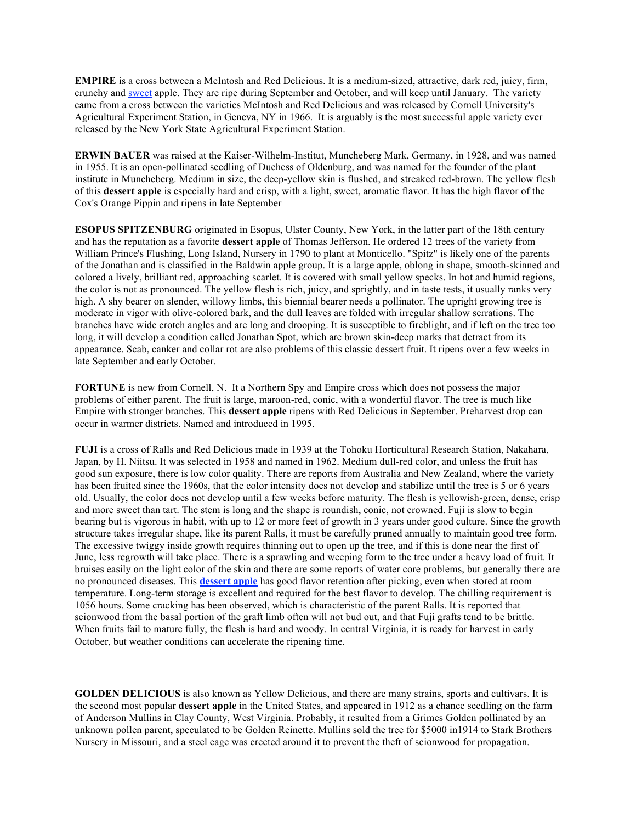**EMPIRE** is a cross between a McIntosh and Red Delicious. It is a medium-sized, attractive, dark red, juicy, firm, crunchy and sweet apple. They are ripe during September and October, and will keep until January. The variety came from a cross between the varieties McIntosh and Red Delicious and was released by Cornell University's Agricultural Experiment Station, in Geneva, NY in 1966. It is arguably is the most successful apple variety ever released by the New York State Agricultural Experiment Station.

**ERWIN BAUER** was raised at the Kaiser-Wilhelm-Institut, Muncheberg Mark, Germany, in 1928, and was named in 1955. It is an open-pollinated seedling of Duchess of Oldenburg, and was named for the founder of the plant institute in Muncheberg. Medium in size, the deep-yellow skin is flushed, and streaked red-brown. The yellow flesh of this **dessert apple** is especially hard and crisp, with a light, sweet, aromatic flavor. It has the high flavor of the Cox's Orange Pippin and ripens in late September

**ESOPUS SPITZENBURG** originated in Esopus, Ulster County, New York, in the latter part of the 18th century and has the reputation as a favorite **dessert apple** of Thomas Jefferson. He ordered 12 trees of the variety from William Prince's Flushing, Long Island, Nursery in 1790 to plant at Monticello. "Spitz" is likely one of the parents of the Jonathan and is classified in the Baldwin apple group. It is a large apple, oblong in shape, smooth-skinned and colored a lively, brilliant red, approaching scarlet. It is covered with small yellow specks. In hot and humid regions, the color is not as pronounced. The yellow flesh is rich, juicy, and sprightly, and in taste tests, it usually ranks very high. A shy bearer on slender, willowy limbs, this biennial bearer needs a pollinator. The upright growing tree is moderate in vigor with olive-colored bark, and the dull leaves are folded with irregular shallow serrations. The branches have wide crotch angles and are long and drooping. It is susceptible to fireblight, and if left on the tree too long, it will develop a condition called Jonathan Spot, which are brown skin-deep marks that detract from its appearance. Scab, canker and collar rot are also problems of this classic dessert fruit. It ripens over a few weeks in late September and early October.

**FORTUNE** is new from Cornell, N. It a Northern Spy and Empire cross which does not possess the major problems of either parent. The fruit is large, maroon-red, conic, with a wonderful flavor. The tree is much like Empire with stronger branches. This **dessert apple** ripens with Red Delicious in September. Preharvest drop can occur in warmer districts. Named and introduced in 1995.

**FUJI** is a cross of Ralls and Red Delicious made in 1939 at the Tohoku Horticultural Research Station, Nakahara, Japan, by H. Niitsu. It was selected in 1958 and named in 1962. Medium dull-red color, and unless the fruit has good sun exposure, there is low color quality. There are reports from Australia and New Zealand, where the variety has been fruited since the 1960s, that the color intensity does not develop and stabilize until the tree is 5 or 6 years old. Usually, the color does not develop until a few weeks before maturity. The flesh is yellowish-green, dense, crisp and more sweet than tart. The stem is long and the shape is roundish, conic, not crowned. Fuji is slow to begin bearing but is vigorous in habit, with up to 12 or more feet of growth in 3 years under good culture. Since the growth structure takes irregular shape, like its parent Ralls, it must be carefully pruned annually to maintain good tree form. The excessive twiggy inside growth requires thinning out to open up the tree, and if this is done near the first of June, less regrowth will take place. There is a sprawling and weeping form to the tree under a heavy load of fruit. It bruises easily on the light color of the skin and there are some reports of water core problems, but generally there are no pronounced diseases. This **dessert apple** has good flavor retention after picking, even when stored at room temperature. Long-term storage is excellent and required for the best flavor to develop. The chilling requirement is 1056 hours. Some cracking has been observed, which is characteristic of the parent Ralls. It is reported that scionwood from the basal portion of the graft limb often will not bud out, and that Fuji grafts tend to be brittle. When fruits fail to mature fully, the flesh is hard and woody. In central Virginia, it is ready for harvest in early October, but weather conditions can accelerate the ripening time.

**GOLDEN DELICIOUS** is also known as Yellow Delicious, and there are many strains, sports and cultivars. It is the second most popular **dessert apple** in the United States, and appeared in 1912 as a chance seedling on the farm of Anderson Mullins in Clay County, West Virginia. Probably, it resulted from a Grimes Golden pollinated by an unknown pollen parent, speculated to be Golden Reinette. Mullins sold the tree for \$5000 in1914 to Stark Brothers Nursery in Missouri, and a steel cage was erected around it to prevent the theft of scionwood for propagation.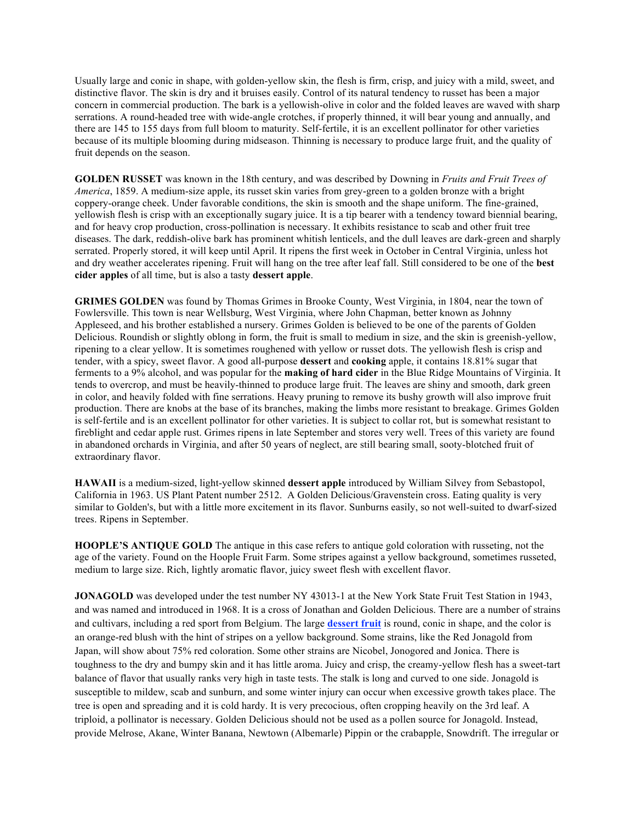Usually large and conic in shape, with golden-yellow skin, the flesh is firm, crisp, and juicy with a mild, sweet, and distinctive flavor. The skin is dry and it bruises easily. Control of its natural tendency to russet has been a major concern in commercial production. The bark is a yellowish-olive in color and the folded leaves are waved with sharp serrations. A round-headed tree with wide-angle crotches, if properly thinned, it will bear young and annually, and there are 145 to 155 days from full bloom to maturity. Self-fertile, it is an excellent pollinator for other varieties because of its multiple blooming during midseason. Thinning is necessary to produce large fruit, and the quality of fruit depends on the season.

**GOLDEN RUSSET** was known in the 18th century, and was described by Downing in *Fruits and Fruit Trees of America*, 1859. A medium-size apple, its russet skin varies from grey-green to a golden bronze with a bright coppery-orange cheek. Under favorable conditions, the skin is smooth and the shape uniform. The fine-grained, yellowish flesh is crisp with an exceptionally sugary juice. It is a tip bearer with a tendency toward biennial bearing, and for heavy crop production, cross-pollination is necessary. It exhibits resistance to scab and other fruit tree diseases. The dark, reddish-olive bark has prominent whitish lenticels, and the dull leaves are dark-green and sharply serrated. Properly stored, it will keep until April. It ripens the first week in October in Central Virginia, unless hot and dry weather accelerates ripening. Fruit will hang on the tree after leaf fall. Still considered to be one of the **best cider apples** of all time, but is also a tasty **dessert apple**.

**GRIMES GOLDEN** was found by Thomas Grimes in Brooke County, West Virginia, in 1804, near the town of Fowlersville. This town is near Wellsburg, West Virginia, where John Chapman, better known as Johnny Appleseed, and his brother established a nursery. Grimes Golden is believed to be one of the parents of Golden Delicious. Roundish or slightly oblong in form, the fruit is small to medium in size, and the skin is greenish-yellow, ripening to a clear yellow. It is sometimes roughened with yellow or russet dots. The yellowish flesh is crisp and tender, with a spicy, sweet flavor. A good all-purpose **dessert** and **cooking** apple, it contains 18.81% sugar that ferments to a 9% alcohol, and was popular for the **making of hard cider** in the Blue Ridge Mountains of Virginia. It tends to overcrop, and must be heavily-thinned to produce large fruit. The leaves are shiny and smooth, dark green in color, and heavily folded with fine serrations. Heavy pruning to remove its bushy growth will also improve fruit production. There are knobs at the base of its branches, making the limbs more resistant to breakage. Grimes Golden is self-fertile and is an excellent pollinator for other varieties. It is subject to collar rot, but is somewhat resistant to fireblight and cedar apple rust. Grimes ripens in late September and stores very well. Trees of this variety are found in abandoned orchards in Virginia, and after 50 years of neglect, are still bearing small, sooty-blotched fruit of extraordinary flavor.

**HAWAII** is a medium-sized, light-yellow skinned **dessert apple** introduced by William Silvey from Sebastopol, California in 1963. US Plant Patent number 2512. A Golden Delicious/Gravenstein cross. Eating quality is very similar to Golden's, but with a little more excitement in its flavor. Sunburns easily, so not well-suited to dwarf-sized trees. Ripens in September.

**HOOPLE'S ANTIQUE GOLD** The antique in this case refers to antique gold coloration with russeting, not the age of the variety. Found on the Hoople Fruit Farm. Some stripes against a yellow background, sometimes russeted, medium to large size. Rich, lightly aromatic flavor, juicy sweet flesh with excellent flavor.

**JONAGOLD** was developed under the test number NY 43013-1 at the New York State Fruit Test Station in 1943, and was named and introduced in 1968. It is a cross of Jonathan and Golden Delicious. There are a number of strains and cultivars, including a red sport from Belgium. The large **dessert fruit** is round, conic in shape, and the color is an orange-red blush with the hint of stripes on a yellow background. Some strains, like the Red Jonagold from Japan, will show about 75% red coloration. Some other strains are Nicobel, Jonogored and Jonica. There is toughness to the dry and bumpy skin and it has little aroma. Juicy and crisp, the creamy-yellow flesh has a sweet-tart balance of flavor that usually ranks very high in taste tests. The stalk is long and curved to one side. Jonagold is susceptible to mildew, scab and sunburn, and some winter injury can occur when excessive growth takes place. The tree is open and spreading and it is cold hardy. It is very precocious, often cropping heavily on the 3rd leaf. A triploid, a pollinator is necessary. Golden Delicious should not be used as a pollen source for Jonagold. Instead, provide Melrose, Akane, Winter Banana, Newtown (Albemarle) Pippin or the crabapple, Snowdrift. The irregular or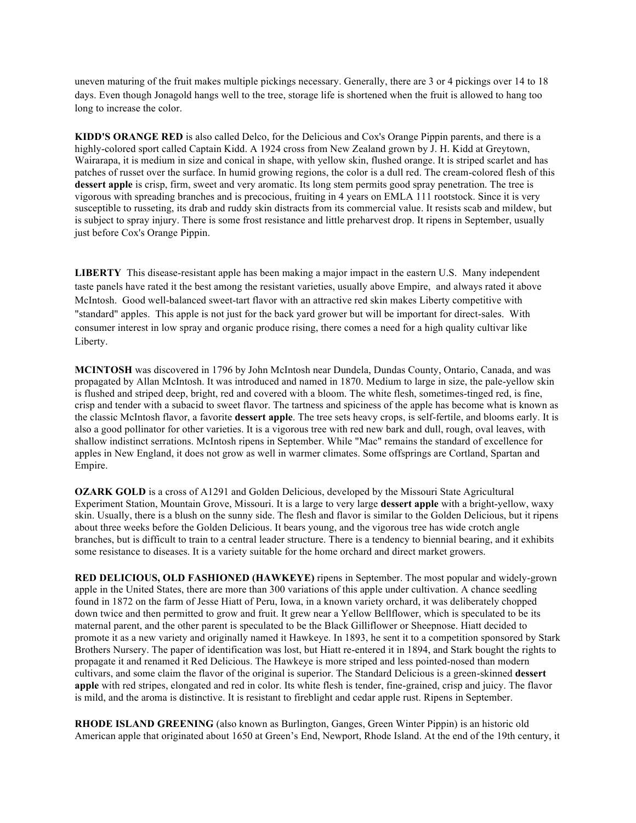uneven maturing of the fruit makes multiple pickings necessary. Generally, there are 3 or 4 pickings over 14 to 18 days. Even though Jonagold hangs well to the tree, storage life is shortened when the fruit is allowed to hang too long to increase the color.

**KIDD'S ORANGE RED** is also called Delco, for the Delicious and Cox's Orange Pippin parents, and there is a highly-colored sport called Captain Kidd. A 1924 cross from New Zealand grown by J. H. Kidd at Greytown, Wairarapa, it is medium in size and conical in shape, with yellow skin, flushed orange. It is striped scarlet and has patches of russet over the surface. In humid growing regions, the color is a dull red. The cream-colored flesh of this **dessert apple** is crisp, firm, sweet and very aromatic. Its long stem permits good spray penetration. The tree is vigorous with spreading branches and is precocious, fruiting in 4 years on EMLA 111 rootstock. Since it is very susceptible to russeting, its drab and ruddy skin distracts from its commercial value. It resists scab and mildew, but is subject to spray injury. There is some frost resistance and little preharvest drop. It ripens in September, usually just before Cox's Orange Pippin.

**LIBERTY** This disease-resistant apple has been making a major impact in the eastern U.S. Many independent taste panels have rated it the best among the resistant varieties, usually above Empire, and always rated it above McIntosh. Good well-balanced sweet-tart flavor with an attractive red skin makes Liberty competitive with "standard" apples. This apple is not just for the back yard grower but will be important for direct-sales. With consumer interest in low spray and organic produce rising, there comes a need for a high quality cultivar like Liberty.

**MCINTOSH** was discovered in 1796 by John McIntosh near Dundela, Dundas County, Ontario, Canada, and was propagated by Allan McIntosh. It was introduced and named in 1870. Medium to large in size, the pale-yellow skin is flushed and striped deep, bright, red and covered with a bloom. The white flesh, sometimes-tinged red, is fine, crisp and tender with a subacid to sweet flavor. The tartness and spiciness of the apple has become what is known as the classic McIntosh flavor, a favorite **dessert apple**. The tree sets heavy crops, is self-fertile, and blooms early. It is also a good pollinator for other varieties. It is a vigorous tree with red new bark and dull, rough, oval leaves, with shallow indistinct serrations. McIntosh ripens in September. While "Mac" remains the standard of excellence for apples in New England, it does not grow as well in warmer climates. Some offsprings are Cortland, Spartan and Empire.

**OZARK GOLD** is a cross of A1291 and Golden Delicious, developed by the Missouri State Agricultural Experiment Station, Mountain Grove, Missouri. It is a large to very large **dessert apple** with a bright-yellow, waxy skin. Usually, there is a blush on the sunny side. The flesh and flavor is similar to the Golden Delicious, but it ripens about three weeks before the Golden Delicious. It bears young, and the vigorous tree has wide crotch angle branches, but is difficult to train to a central leader structure. There is a tendency to biennial bearing, and it exhibits some resistance to diseases. It is a variety suitable for the home orchard and direct market growers.

**RED DELICIOUS, OLD FASHIONED (HAWKEYE)** ripens in September. The most popular and widely-grown apple in the United States, there are more than 300 variations of this apple under cultivation. A chance seedling found in 1872 on the farm of Jesse Hiatt of Peru, Iowa, in a known variety orchard, it was deliberately chopped down twice and then permitted to grow and fruit. It grew near a Yellow Bellflower, which is speculated to be its maternal parent, and the other parent is speculated to be the Black Gilliflower or Sheepnose. Hiatt decided to promote it as a new variety and originally named it Hawkeye. In 1893, he sent it to a competition sponsored by Stark Brothers Nursery. The paper of identification was lost, but Hiatt re-entered it in 1894, and Stark bought the rights to propagate it and renamed it Red Delicious. The Hawkeye is more striped and less pointed-nosed than modern cultivars, and some claim the flavor of the original is superior. The Standard Delicious is a green-skinned **dessert apple** with red stripes, elongated and red in color. Its white flesh is tender, fine-grained, crisp and juicy. The flavor is mild, and the aroma is distinctive. It is resistant to fireblight and cedar apple rust. Ripens in September.

**RHODE ISLAND GREENING** (also known as Burlington, Ganges, Green Winter Pippin) is an historic old American apple that originated about 1650 at Green's End, Newport, Rhode Island. At the end of the 19th century, it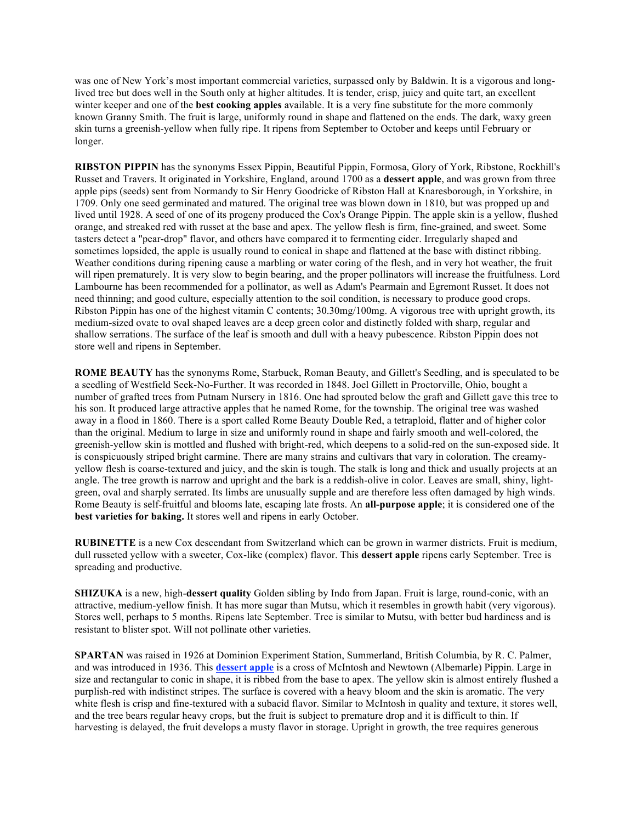was one of New York's most important commercial varieties, surpassed only by Baldwin. It is a vigorous and longlived tree but does well in the South only at higher altitudes. It is tender, crisp, juicy and quite tart, an excellent winter keeper and one of the **best cooking apples** available. It is a very fine substitute for the more commonly known Granny Smith. The fruit is large, uniformly round in shape and flattened on the ends. The dark, waxy green skin turns a greenish-yellow when fully ripe. It ripens from September to October and keeps until February or longer.

**RIBSTON PIPPIN** has the synonyms Essex Pippin, Beautiful Pippin, Formosa, Glory of York, Ribstone, Rockhill's Russet and Travers. It originated in Yorkshire, England, around 1700 as a **dessert apple**, and was grown from three apple pips (seeds) sent from Normandy to Sir Henry Goodricke of Ribston Hall at Knaresborough, in Yorkshire, in 1709. Only one seed germinated and matured. The original tree was blown down in 1810, but was propped up and lived until 1928. A seed of one of its progeny produced the Cox's Orange Pippin. The apple skin is a yellow, flushed orange, and streaked red with russet at the base and apex. The yellow flesh is firm, fine-grained, and sweet. Some tasters detect a "pear-drop" flavor, and others have compared it to fermenting cider. Irregularly shaped and sometimes lopsided, the apple is usually round to conical in shape and flattened at the base with distinct ribbing. Weather conditions during ripening cause a marbling or water coring of the flesh, and in very hot weather, the fruit will ripen prematurely. It is very slow to begin bearing, and the proper pollinators will increase the fruitfulness. Lord Lambourne has been recommended for a pollinator, as well as Adam's Pearmain and Egremont Russet. It does not need thinning; and good culture, especially attention to the soil condition, is necessary to produce good crops. Ribston Pippin has one of the highest vitamin C contents; 30.30mg/100mg. A vigorous tree with upright growth, its medium-sized ovate to oval shaped leaves are a deep green color and distinctly folded with sharp, regular and shallow serrations. The surface of the leaf is smooth and dull with a heavy pubescence. Ribston Pippin does not store well and ripens in September.

**ROME BEAUTY** has the synonyms Rome, Starbuck, Roman Beauty, and Gillett's Seedling, and is speculated to be a seedling of Westfield Seek-No-Further. It was recorded in 1848. Joel Gillett in Proctorville, Ohio, bought a number of grafted trees from Putnam Nursery in 1816. One had sprouted below the graft and Gillett gave this tree to his son. It produced large attractive apples that he named Rome, for the township. The original tree was washed away in a flood in 1860. There is a sport called Rome Beauty Double Red, a tetraploid, flatter and of higher color than the original. Medium to large in size and uniformly round in shape and fairly smooth and well-colored, the greenish-yellow skin is mottled and flushed with bright-red, which deepens to a solid-red on the sun-exposed side. It is conspicuously striped bright carmine. There are many strains and cultivars that vary in coloration. The creamyyellow flesh is coarse-textured and juicy, and the skin is tough. The stalk is long and thick and usually projects at an angle. The tree growth is narrow and upright and the bark is a reddish-olive in color. Leaves are small, shiny, lightgreen, oval and sharply serrated. Its limbs are unusually supple and are therefore less often damaged by high winds. Rome Beauty is self-fruitful and blooms late, escaping late frosts. An **all-purpose apple**; it is considered one of the **best varieties for baking.** It stores well and ripens in early October.

**RUBINETTE** is a new Cox descendant from Switzerland which can be grown in warmer districts. Fruit is medium, dull russeted yellow with a sweeter, Cox-like (complex) flavor. This **dessert apple** ripens early September. Tree is spreading and productive.

**SHIZUKA** is a new, high-**dessert quality** Golden sibling by Indo from Japan. Fruit is large, round-conic, with an attractive, medium-yellow finish. It has more sugar than Mutsu, which it resembles in growth habit (very vigorous). Stores well, perhaps to 5 months. Ripens late September. Tree is similar to Mutsu, with better bud hardiness and is resistant to blister spot. Will not pollinate other varieties.

**SPARTAN** was raised in 1926 at Dominion Experiment Station, Summerland, British Columbia, by R. C. Palmer, and was introduced in 1936. This **dessert apple** is a cross of McIntosh and Newtown (Albemarle) Pippin. Large in size and rectangular to conic in shape, it is ribbed from the base to apex. The yellow skin is almost entirely flushed a purplish-red with indistinct stripes. The surface is covered with a heavy bloom and the skin is aromatic. The very white flesh is crisp and fine-textured with a subacid flavor. Similar to McIntosh in quality and texture, it stores well, and the tree bears regular heavy crops, but the fruit is subject to premature drop and it is difficult to thin. If harvesting is delayed, the fruit develops a musty flavor in storage. Upright in growth, the tree requires generous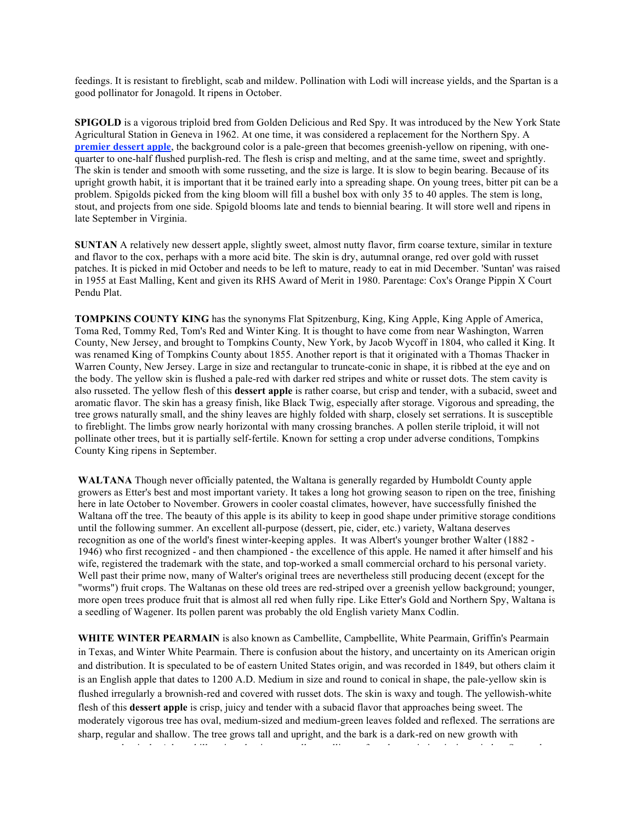feedings. It is resistant to fireblight, scab and mildew. Pollination with Lodi will increase yields, and the Spartan is a good pollinator for Jonagold. It ripens in October.

**SPIGOLD** is a vigorous triploid bred from Golden Delicious and Red Spy. It was introduced by the New York State Agricultural Station in Geneva in 1962. At one time, it was considered a replacement for the Northern Spy. A **premier dessert apple**, the background color is a pale-green that becomes greenish-yellow on ripening, with onequarter to one-half flushed purplish-red. The flesh is crisp and melting, and at the same time, sweet and sprightly. The skin is tender and smooth with some russeting, and the size is large. It is slow to begin bearing. Because of its upright growth habit, it is important that it be trained early into a spreading shape. On young trees, bitter pit can be a problem. Spigolds picked from the king bloom will fill a bushel box with only 35 to 40 apples. The stem is long, stout, and projects from one side. Spigold blooms late and tends to biennial bearing. It will store well and ripens in late September in Virginia.

**SUNTAN** A relatively new dessert apple, slightly sweet, almost nutty flavor, firm coarse texture, similar in texture and flavor to the cox, perhaps with a more acid bite. The skin is dry, autumnal orange, red over gold with russet patches. It is picked in mid October and needs to be left to mature, ready to eat in mid December. 'Suntan' was raised in 1955 at East Malling, Kent and given its RHS Award of Merit in 1980. Parentage: Cox's Orange Pippin X Court Pendu Plat.

**TOMPKINS COUNTY KING** has the synonyms Flat Spitzenburg, King, King Apple, King Apple of America, Toma Red, Tommy Red, Tom's Red and Winter King. It is thought to have come from near Washington, Warren County, New Jersey, and brought to Tompkins County, New York, by Jacob Wycoff in 1804, who called it King. It was renamed King of Tompkins County about 1855. Another report is that it originated with a Thomas Thacker in Warren County, New Jersey. Large in size and rectangular to truncate-conic in shape, it is ribbed at the eye and on the body. The yellow skin is flushed a pale-red with darker red stripes and white or russet dots. The stem cavity is also russeted. The yellow flesh of this **dessert apple** is rather coarse, but crisp and tender, with a subacid, sweet and aromatic flavor. The skin has a greasy finish, like Black Twig, especially after storage. Vigorous and spreading, the tree grows naturally small, and the shiny leaves are highly folded with sharp, closely set serrations. It is susceptible to fireblight. The limbs grow nearly horizontal with many crossing branches. A pollen sterile triploid, it will not pollinate other trees, but it is partially self-fertile. Known for setting a crop under adverse conditions, Tompkins County King ripens in September.

**WALTANA** Though never officially patented, the Waltana is generally regarded by Humboldt County apple growers as Etter's best and most important variety. It takes a long hot growing season to ripen on the tree, finishing here in late October to November. Growers in cooler coastal climates, however, have successfully finished the Waltana off the tree. The beauty of this apple is its ability to keep in good shape under primitive storage conditions until the following summer. An excellent all-purpose (dessert, pie, cider, etc.) variety, Waltana deserves recognition as one of the world's finest winter-keeping apples. It was Albert's younger brother Walter (1882 - 1946) who first recognized - and then championed - the excellence of this apple. He named it after himself and his wife, registered the trademark with the state, and top-worked a small commercial orchard to his personal variety. Well past their prime now, many of Walter's original trees are nevertheless still producing decent (except for the "worms") fruit crops. The Waltanas on these old trees are red-striped over a greenish yellow background; younger, more open trees produce fruit that is almost all red when fully ripe. Like Etter's Gold and Northern Spy, Waltana is a seedling of Wagener. Its pollen parent was probably the old English variety Manx Codlin.

WHITE WINTER PEARMAIN is also known as Cambellite, Campbellite, White Pearmain, Griffin's Pearmain in Texas, and Winter White Pearmain. There is confusion about the history, and uncertainty on its American origin and distribution. It is speculated to be of eastern United States origin, and was recorded in 1849, but others claim it is an English apple that dates to 1200 A.D. Medium in size and round to conical in shape, the pale-yellow skin is flushed irregularly a brownish-red and covered with russet dots. The skin is waxy and tough. The yellowish-white flesh of this **dessert apple** is crisp, juicy and tender with a subacid flavor that approaches being sweet. The moderately vigorous tree has oval, medium-sized and medium-green leaves folded and reflexed. The serrations are sharp, regular and shallow. The tree grows tall and upright, and the bark is a dark-red on new growth with numerous lenticels. A low chill variety that is an excellent pollinator for other varieties, it ripens in late September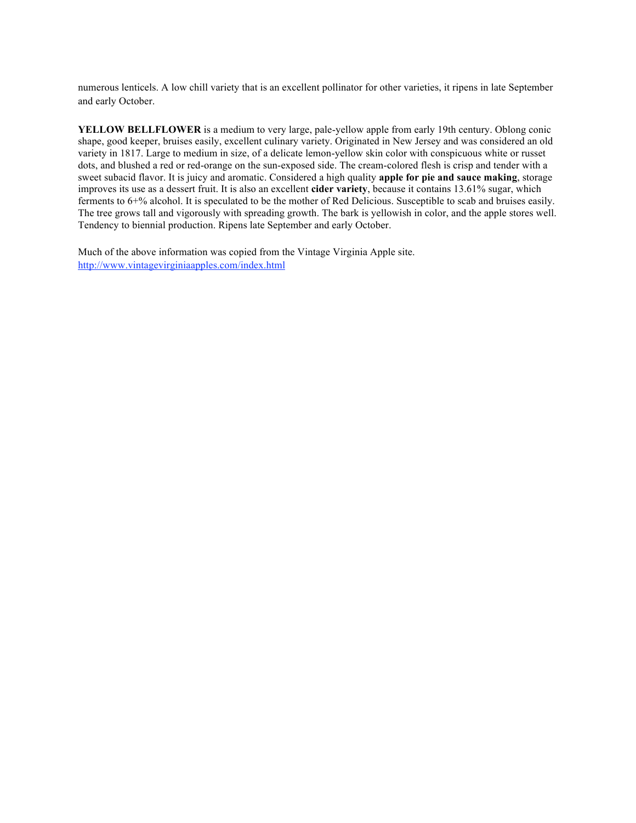numerous lenticels. A low chill variety that is an excellent pollinator for other varieties, it ripens in late September and early October.

**YELLOW BELLFLOWER** is a medium to very large, pale-yellow apple from early 19th century. Oblong conic shape, good keeper, bruises easily, excellent culinary variety. Originated in New Jersey and was considered an old variety in 1817. Large to medium in size, of a delicate lemon-yellow skin color with conspicuous white or russet dots, and blushed a red or red-orange on the sun-exposed side. The cream-colored flesh is crisp and tender with a sweet subacid flavor. It is juicy and aromatic. Considered a high quality **apple for pie and sauce making**, storage improves its use as a dessert fruit. It is also an excellent **cider variety**, because it contains 13.61% sugar, which ferments to 6+% alcohol. It is speculated to be the mother of Red Delicious. Susceptible to scab and bruises easily. The tree grows tall and vigorously with spreading growth. The bark is yellowish in color, and the apple stores well. Tendency to biennial production. Ripens late September and early October.

Much of the above information was copied from the Vintage Virginia Apple site. http://www.vintagevirginiaapples.com/index.html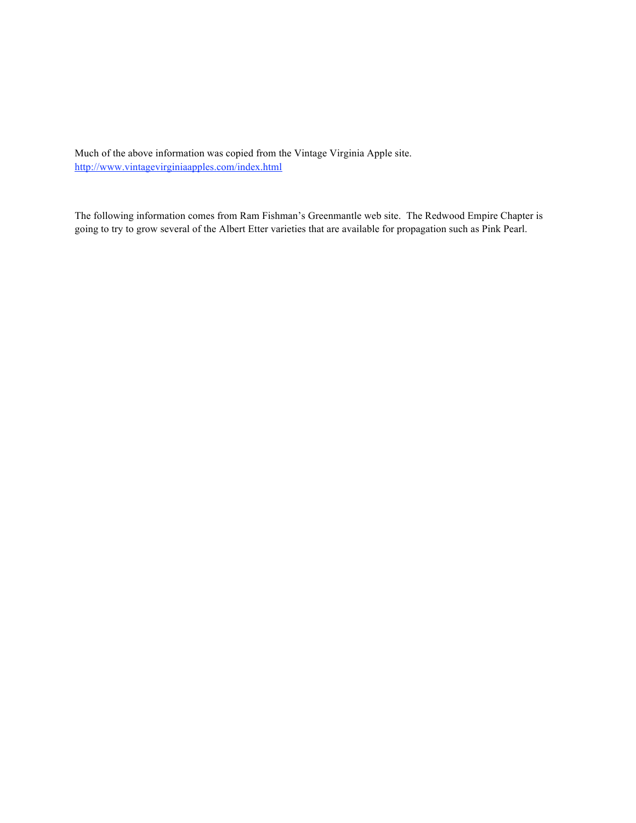Much of the above information was copied from the Vintage Virginia Apple site. http://www.vintagevirginiaapples.com/index.html

The following information comes from Ram Fishman's Greenmantle web site. The Redwood Empire Chapter is going to try to grow several of the Albert Etter varieties that are available for propagation such as Pink Pearl.